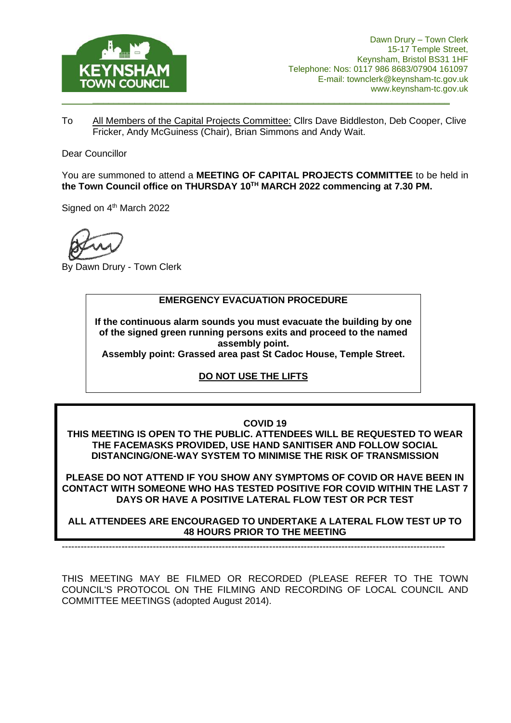

To All Members of the Capital Projects Committee: Cllrs Dave Biddleston, Deb Cooper, Clive Fricker, Andy McGuiness (Chair), Brian Simmons and Andy Wait.

Dear Councillor

You are summoned to attend a **MEETING OF CAPITAL PROJECTS COMMITTEE** to be held in **the Town Council office on THURSDAY 10TH MARCH 2022 commencing at 7.30 PM.**

Signed on 4<sup>th</sup> March 2022

By Dawn Drury - Town Clerk

#### **EMERGENCY EVACUATION PROCEDURE**

**If the continuous alarm sounds you must evacuate the building by one of the signed green running persons exits and proceed to the named assembly point.**

**Assembly point: Grassed area past St Cadoc House, Temple Street.**

### **DO NOT USE THE LIFTS**

#### **COVID 19**

**THIS MEETING IS OPEN TO THE PUBLIC. ATTENDEES WILL BE REQUESTED TO WEAR THE FACEMASKS PROVIDED, USE HAND SANITISER AND FOLLOW SOCIAL DISTANCING/ONE-WAY SYSTEM TO MINIMISE THE RISK OF TRANSMISSION**

**PLEASE DO NOT ATTEND IF YOU SHOW ANY SYMPTOMS OF COVID OR HAVE BEEN IN CONTACT WITH SOMEONE WHO HAS TESTED POSITIVE FOR COVID WITHIN THE LAST 7 DAYS OR HAVE A POSITIVE LATERAL FLOW TEST OR PCR TEST**

**ALL ATTENDEES ARE ENCOURAGED TO UNDERTAKE A LATERAL FLOW TEST UP TO 48 HOURS PRIOR TO THE MEETING**

--------------------------------------------------------------------------------------------------------------------------

THIS MEETING MAY BE FILMED OR RECORDED (PLEASE REFER TO THE TOWN COUNCIL'S PROTOCOL ON THE FILMING AND RECORDING OF LOCAL COUNCIL AND COMMITTEE MEETINGS (adopted August 2014).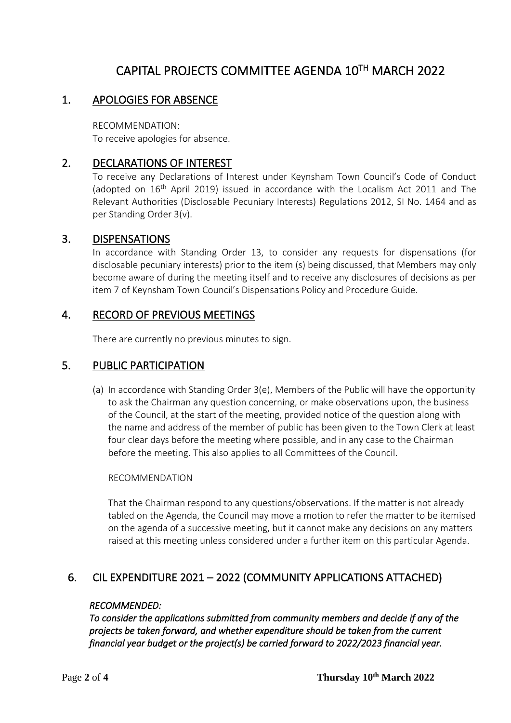# CAPITAL PROJECTS COMMITTEE AGENDA 10TH MARCH 2022

### 1. APOLOGIES FOR ABSENCE

RECOMMENDATION: To receive apologies for absence.

### 2. DECLARATIONS OF INTEREST

To receive any Declarations of Interest under Keynsham Town Council's Code of Conduct (adopted on  $16<sup>th</sup>$  April 2019) issued in accordance with the Localism Act 2011 and The Relevant Authorities (Disclosable Pecuniary Interests) Regulations 2012, SI No. 1464 and as per Standing Order 3(v).

### 3. DISPENSATIONS

In accordance with Standing Order 13, to consider any requests for dispensations (for disclosable pecuniary interests) prior to the item (s) being discussed, that Members may only become aware of during the meeting itself and to receive any disclosures of decisions as per item 7 of Keynsham Town Council's Dispensations Policy and Procedure Guide.

### 4. RECORD OF PREVIOUS MEETINGS

There are currently no previous minutes to sign.

### 5. PUBLIC PARTICIPATION

(a) In accordance with Standing Order 3(e), Members of the Public will have the opportunity to ask the Chairman any question concerning, or make observations upon, the business of the Council, at the start of the meeting, provided notice of the question along with the name and address of the member of public has been given to the Town Clerk at least four clear days before the meeting where possible, and in any case to the Chairman before the meeting. This also applies to all Committees of the Council.

#### RECOMMENDATION

That the Chairman respond to any questions/observations. If the matter is not already tabled on the Agenda, the Council may move a motion to refer the matter to be itemised on the agenda of a successive meeting, but it cannot make any decisions on any matters raised at this meeting unless considered under a further item on this particular Agenda.

# 6. CIL EXPENDITURE 2021 – 2022 (COMMUNITY APPLICATIONS ATTACHED)

#### *RECOMMENDED:*

*To consider the applications submitted from community members and decide if any of the projects be taken forward, and whether expenditure should be taken from the current financial year budget or the project(s) be carried forward to 2022/2023 financial year.*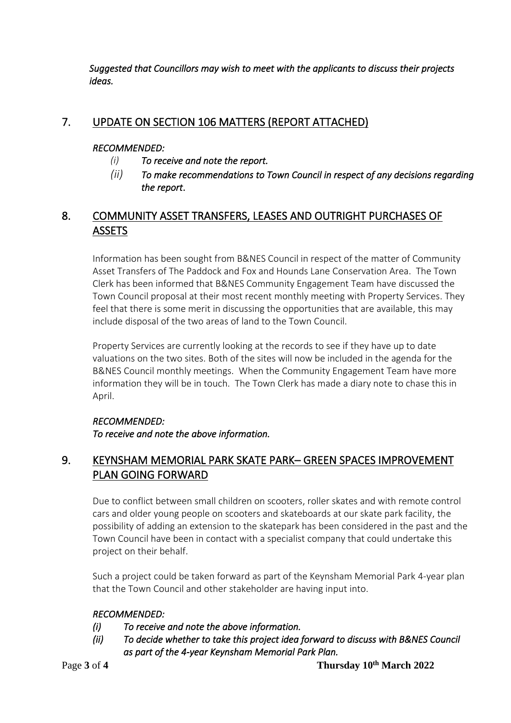*Suggested that Councillors may wish to meet with the applicants to discuss their projects ideas.* 

# 7. UPDATE ON SECTION 106 MATTERS (REPORT ATTACHED)

### *RECOMMENDED:*

- *(i) To receive and note the report.*
- *(ii) To make recommendations to Town Council in respect of any decisions regarding the report*.

# 8. COMMUNITY ASSET TRANSFERS, LEASES AND OUTRIGHT PURCHASES OF **ASSETS**

Information has been sought from B&NES Council in respect of the matter of Community Asset Transfers of The Paddock and Fox and Hounds Lane Conservation Area. The Town Clerk has been informed that B&NES Community Engagement Team have discussed the Town Council proposal at their most recent monthly meeting with Property Services. They feel that there is some merit in discussing the opportunities that are available, this may include disposal of the two areas of land to the Town Council.

Property Services are currently looking at the records to see if they have up to date valuations on the two sites. Both of the sites will now be included in the agenda for the B&NES Council monthly meetings. When the Community Engagement Team have more information they will be in touch. The Town Clerk has made a diary note to chase this in April.

### *RECOMMENDED:*

*To receive and note the above information.* 

# 9. KEYNSHAM MEMORIAL PARK SKATE PARK– GREEN SPACES IMPROVEMENT PLAN GOING FORWARD

Due to conflict between small children on scooters, roller skates and with remote control cars and older young people on scooters and skateboards at our skate park facility, the possibility of adding an extension to the skatepark has been considered in the past and the Town Council have been in contact with a specialist company that could undertake this project on their behalf.

Such a project could be taken forward as part of the Keynsham Memorial Park 4-year plan that the Town Council and other stakeholder are having input into.

### *RECOMMENDED:*

- *(i) To receive and note the above information.*
- *(ii) To decide whether to take this project idea forward to discuss with B&NES Council as part of the 4-year Keynsham Memorial Park Plan.*

Page 3 of 4 Thursday 10<sup>th</sup> March 2022